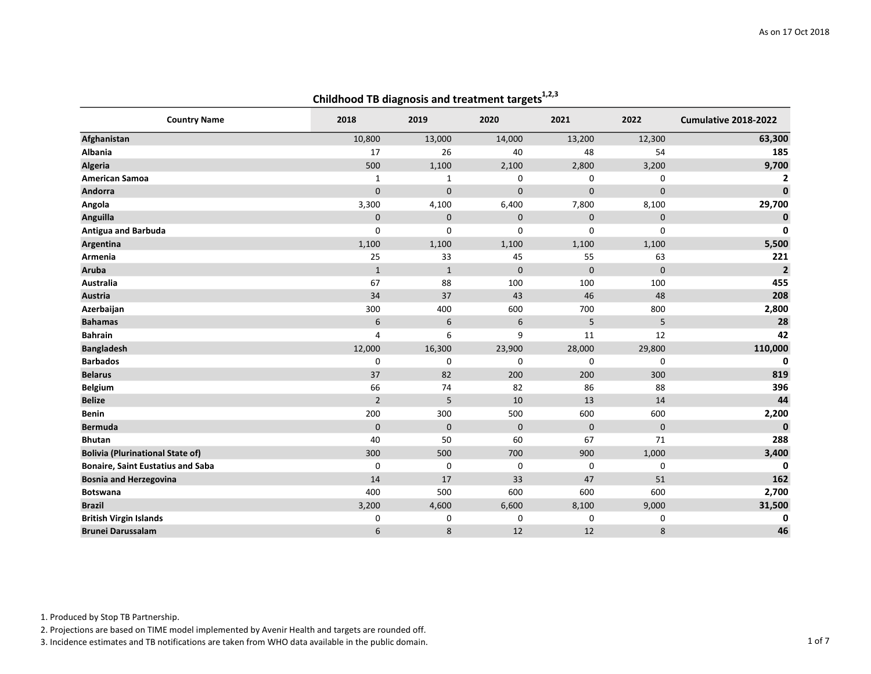|                                          |                |              | comanooa to alaghosis and treatment targets |             |             |                      |
|------------------------------------------|----------------|--------------|---------------------------------------------|-------------|-------------|----------------------|
| <b>Country Name</b>                      | 2018           | 2019         | 2020                                        | 2021        | 2022        | Cumulative 2018-2022 |
| Afghanistan                              | 10,800         | 13,000       | 14,000                                      | 13,200      | 12,300      | 63,300               |
| Albania                                  | 17             | 26           | 40                                          | 48          | 54          | 185                  |
| Algeria                                  | 500            | 1,100        | 2,100                                       | 2,800       | 3,200       | 9,700                |
| <b>American Samoa</b>                    | $\mathbf{1}$   | $\mathbf{1}$ | 0                                           | $\mathbf 0$ | 0           | 2                    |
| Andorra                                  | $\mathbf{0}$   | $\mathbf 0$  | $\mathbf 0$                                 | $\mathbf 0$ | $\mathbf 0$ | $\mathbf 0$          |
| Angola                                   | 3,300          | 4,100        | 6,400                                       | 7,800       | 8,100       | 29,700               |
| Anguilla                                 | $\mathbf 0$    | $\mathbf 0$  | $\pmb{0}$                                   | $\mathbf 0$ | $\mathbf 0$ | 0                    |
| Antigua and Barbuda                      | 0              | $\Omega$     | $\mathbf 0$                                 | $\mathbf 0$ | 0           | $\mathbf 0$          |
| Argentina                                | 1,100          | 1,100        | 1,100                                       | 1,100       | 1,100       | 5,500                |
| Armenia                                  | 25             | 33           | 45                                          | 55          | 63          | 221                  |
| Aruba                                    | $1\,$          | $\mathbf{1}$ | $\mathbf 0$                                 | $\mathbf 0$ | $\mathbf 0$ | $\overline{2}$       |
| Australia                                | 67             | 88           | 100                                         | 100         | 100         | 455                  |
| Austria                                  | 34             | 37           | 43                                          | 46          | 48          | 208                  |
| Azerbaijan                               | 300            | 400          | 600                                         | 700         | 800         | 2,800                |
| <b>Bahamas</b>                           | 6              | 6            | 6                                           | 5           | 5           | 28                   |
| <b>Bahrain</b>                           | $\overline{4}$ | 6            | 9                                           | 11          | 12          | 42                   |
| <b>Bangladesh</b>                        | 12,000         | 16,300       | 23,900                                      | 28,000      | 29,800      | 110,000              |
| <b>Barbados</b>                          | 0              | 0            | 0                                           | $\mathbf 0$ | 0           | 0                    |
| <b>Belarus</b>                           | 37             | 82           | 200                                         | 200         | 300         | 819                  |
| Belgium                                  | 66             | 74           | 82                                          | 86          | 88          | 396                  |
| <b>Belize</b>                            | $\overline{2}$ | 5            | $10\,$                                      | 13          | 14          | 44                   |
| Benin                                    | 200            | 300          | 500                                         | 600         | 600         | 2,200                |
| <b>Bermuda</b>                           | $\mathbf 0$    | $\mathbf 0$  | $\mathbf 0$                                 | $\mathbf 0$ | $\mathbf 0$ | $\mathbf 0$          |
| <b>Bhutan</b>                            | 40             | 50           | 60                                          | 67          | 71          | 288                  |
| <b>Bolivia (Plurinational State of)</b>  | 300            | 500          | 700                                         | 900         | 1,000       | 3,400                |
| <b>Bonaire, Saint Eustatius and Saba</b> | 0              | 0            | 0                                           | 0           | 0           | 0                    |
| <b>Bosnia and Herzegovina</b>            | 14             | 17           | 33                                          | 47          | 51          | 162                  |
| <b>Botswana</b>                          | 400            | 500          | 600                                         | 600         | 600         | 2,700                |
| <b>Brazil</b>                            | 3,200          | 4,600        | 6,600                                       | 8,100       | 9,000       | 31,500               |
| <b>British Virgin Islands</b>            | 0              | 0            | 0                                           | $\mathbf 0$ | 0           | 0                    |
| <b>Brunei Darussalam</b>                 | 6              | 8            | 12                                          | 12          | 8           | 46                   |

1. Produced by Stop TB Partnership.

2. Projections are based on TIME model implemented by Avenir Health and targets are rounded off.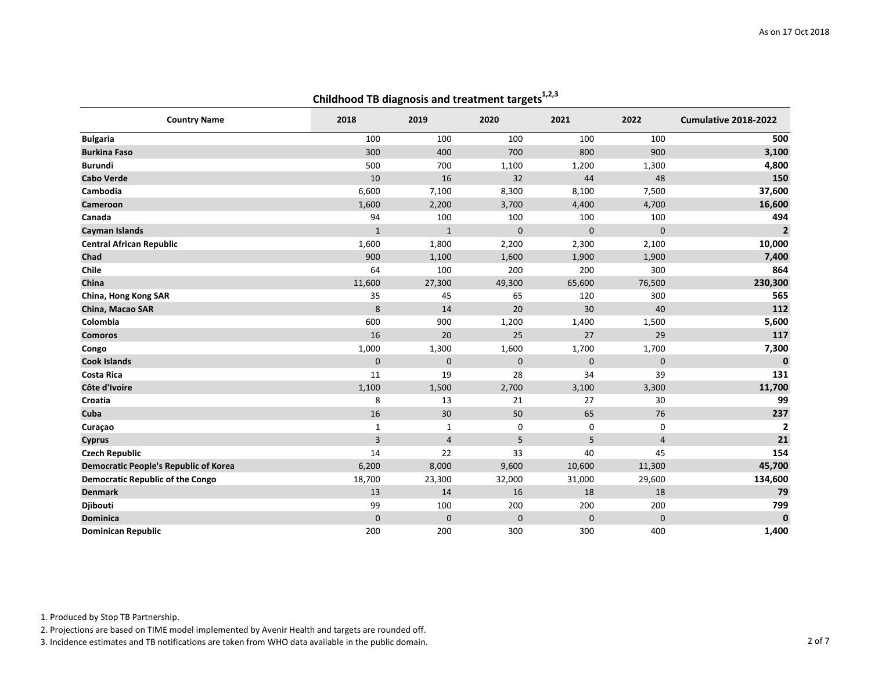|                                              | comunouu to unagnosis anu treatment targets |                |             |              |             |                      |
|----------------------------------------------|---------------------------------------------|----------------|-------------|--------------|-------------|----------------------|
| <b>Country Name</b>                          | 2018                                        | 2019           | 2020        | 2021         | 2022        | Cumulative 2018-2022 |
| <b>Bulgaria</b>                              | 100                                         | 100            | 100         | 100          | 100         | 500                  |
| <b>Burkina Faso</b>                          | 300                                         | 400            | 700         | 800          | 900         | 3,100                |
| <b>Burundi</b>                               | 500                                         | 700            | 1,100       | 1,200        | 1,300       | 4,800                |
| <b>Cabo Verde</b>                            | 10                                          | 16             | 32          | 44           | 48          | 150                  |
| Cambodia                                     | 6,600                                       | 7,100          | 8,300       | 8,100        | 7,500       | 37,600               |
| Cameroon                                     | 1,600                                       | 2,200          | 3,700       | 4,400        | 4,700       | 16,600               |
| Canada                                       | 94                                          | 100            | 100         | 100          | 100         | 494                  |
| <b>Cayman Islands</b>                        | $\mathbf{1}$                                | $\mathbf{1}$   | $\mathbf 0$ | $\mathbf{0}$ | $\mathbf 0$ | $\overline{2}$       |
| <b>Central African Republic</b>              | 1,600                                       | 1,800          | 2,200       | 2,300        | 2,100       | 10,000               |
| Chad                                         | 900                                         | 1,100          | 1,600       | 1,900        | 1,900       | 7,400                |
| Chile                                        | 64                                          | 100            | 200         | 200          | 300         | 864                  |
| China                                        | 11,600                                      | 27,300         | 49,300      | 65,600       | 76,500      | 230,300              |
| China, Hong Kong SAR                         | 35                                          | 45             | 65          | 120          | 300         | 565                  |
| China, Macao SAR                             | 8                                           | 14             | 20          | 30           | 40          | 112                  |
| Colombia                                     | 600                                         | 900            | 1,200       | 1,400        | 1,500       | 5,600                |
| <b>Comoros</b>                               | 16                                          | 20             | 25          | 27           | 29          | 117                  |
| Congo                                        | 1,000                                       | 1,300          | 1,600       | 1,700        | 1,700       | 7,300                |
| <b>Cook Islands</b>                          | $\mathbf{0}$                                | $\mathbf{0}$   | $\mathbf 0$ | $\mathbf{0}$ | $\mathbf 0$ | $\mathbf{0}$         |
| <b>Costa Rica</b>                            | 11                                          | 19             | 28          | 34           | 39          | 131                  |
| Côte d'Ivoire                                | 1,100                                       | 1,500          | 2,700       | 3,100        | 3,300       | 11,700               |
| Croatia                                      | 8                                           | 13             | 21          | 27           | 30          | 99                   |
| Cuba                                         | 16                                          | 30             | 50          | 65           | 76          | 237                  |
| Curaçao                                      | $\mathbf{1}$                                | $\mathbf{1}$   | 0           | 0            | 0           | $\overline{2}$       |
| <b>Cyprus</b>                                | $\overline{3}$                              | $\overline{4}$ | 5           | 5            | $\sqrt{4}$  | 21                   |
| <b>Czech Republic</b>                        | 14                                          | 22             | 33          | 40           | 45          | 154                  |
| <b>Democratic People's Republic of Korea</b> | 6,200                                       | 8,000          | 9,600       | 10,600       | 11,300      | 45,700               |
| <b>Democratic Republic of the Congo</b>      | 18,700                                      | 23,300         | 32,000      | 31,000       | 29,600      | 134,600              |
| <b>Denmark</b>                               | 13                                          | 14             | 16          | 18           | 18          | 79                   |
| Djibouti                                     | 99                                          | 100            | 200         | 200          | 200         | 799                  |
| <b>Dominica</b>                              | $\mathbf 0$                                 | $\mathbf{0}$   | $\mathbf 0$ | $\mathbf 0$  | $\mathbf 0$ | $\mathbf{0}$         |
| <b>Dominican Republic</b>                    | 200                                         | 200            | 300         | 300          | 400         | 1,400                |

1. Produced by Stop TB Partnership.

2. Projections are based on TIME model implemented by Avenir Health and targets are rounded off.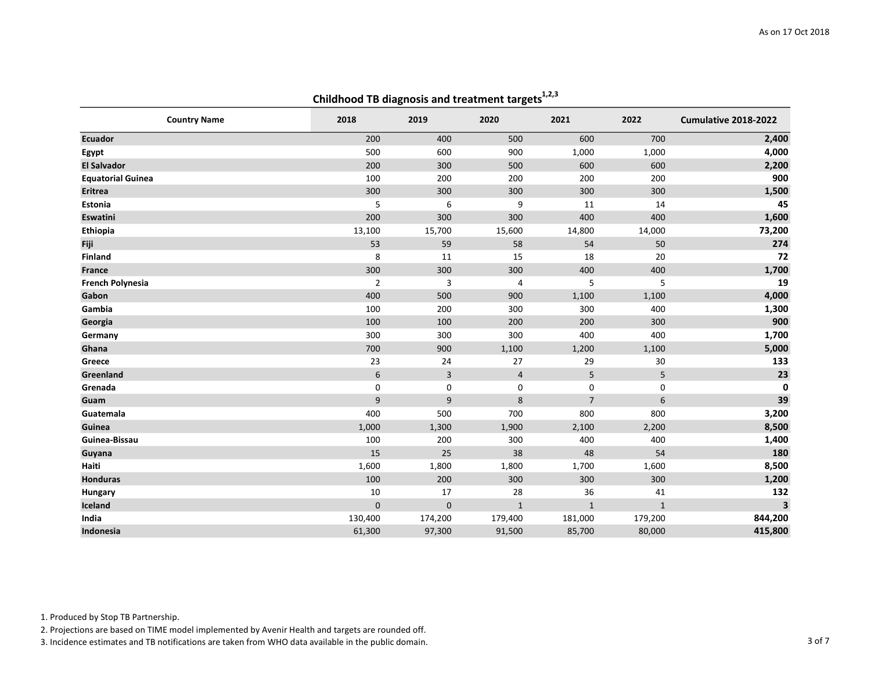| <b>Country Name</b>      | 2018           | 2019           | 2020           | 2021           | 2022         | Cumulative 2018-2022    |
|--------------------------|----------------|----------------|----------------|----------------|--------------|-------------------------|
| <b>Ecuador</b>           | 200            | 400            | 500            | 600            | 700          | 2,400                   |
| Egypt                    | 500            | 600            | 900            | 1,000          | 1,000        | 4,000                   |
| <b>El Salvador</b>       | 200            | 300            | 500            | 600            | 600          | 2,200                   |
| <b>Equatorial Guinea</b> | 100            | 200            | 200            | 200            | 200          | 900                     |
| <b>Eritrea</b>           | 300            | 300            | 300            | 300            | 300          | 1,500                   |
| Estonia                  | 5              | 6              | 9              | 11             | 14           | 45                      |
| Eswatini                 | 200            | 300            | 300            | 400            | 400          | 1,600                   |
| Ethiopia                 | 13,100         | 15,700         | 15,600         | 14,800         | 14,000       | 73,200                  |
| Fiji                     | 53             | 59             | 58             | 54             | 50           | 274                     |
| <b>Finland</b>           | 8              | 11             | 15             | 18             | 20           | 72                      |
| <b>France</b>            | 300            | 300            | 300            | 400            | 400          | 1,700                   |
| <b>French Polynesia</b>  | $\overline{2}$ | 3              | 4              | 5              | 5            | 19                      |
| Gabon                    | 400            | 500            | 900            | 1,100          | 1,100        | 4,000                   |
| Gambia                   | 100            | 200            | 300            | 300            | 400          | 1,300                   |
| Georgia                  | 100            | 100            | 200            | 200            | 300          | 900                     |
| Germany                  | 300            | 300            | 300            | 400            | 400          | 1,700                   |
| Ghana                    | 700            | 900            | 1,100          | 1,200          | 1,100        | 5,000                   |
| Greece                   | 23             | 24             | 27             | 29             | 30           | 133                     |
| Greenland                | 6              | $\overline{3}$ | $\overline{4}$ | 5              | 5            | 23                      |
| Grenada                  | $\mathsf 0$    | 0              | 0              | 0              | 0            | 0                       |
| Guam                     | 9              | 9              | 8              | $\overline{7}$ | 6            | 39                      |
| Guatemala                | 400            | 500            | 700            | 800            | 800          | 3,200                   |
| Guinea                   | 1,000          | 1,300          | 1,900          | 2,100          | 2,200        | 8,500                   |
| Guinea-Bissau            | 100            | 200            | 300            | 400            | 400          | 1,400                   |
| Guyana                   | 15             | 25             | 38             | 48             | 54           | 180                     |
| Haiti                    | 1,600          | 1,800          | 1,800          | 1,700          | 1,600        | 8,500                   |
| <b>Honduras</b>          | 100            | 200            | 300            | 300            | 300          | 1,200                   |
| Hungary                  | 10             | 17             | 28             | 36             | 41           | 132                     |
| Iceland                  | $\mathbf 0$    | $\mathbf{0}$   | $\mathbf{1}$   | $\mathbf{1}$   | $\mathbf{1}$ | $\overline{\mathbf{3}}$ |
| India                    | 130,400        | 174,200        | 179,400        | 181,000        | 179,200      | 844,200                 |
| Indonesia                | 61,300         | 97,300         | 91,500         | 85,700         | 80,000       | 415,800                 |

1. Produced by Stop TB Partnership.

2. Projections are based on TIME model implemented by Avenir Health and targets are rounded off.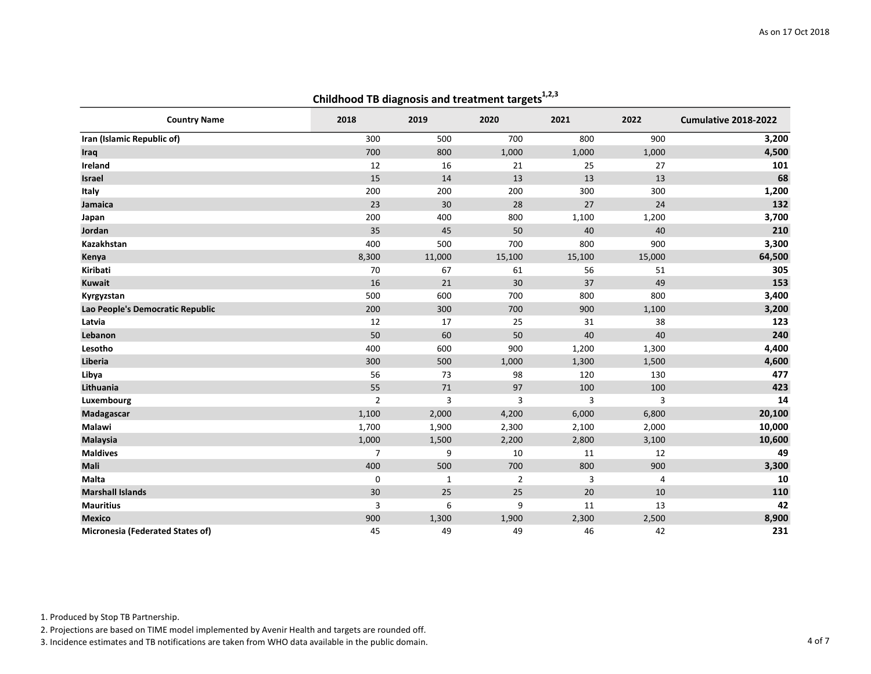| <b>Country Name</b>              | 2018           | 2019         | 2020           | 2021   | 2022   | Cumulative 2018-2022 |
|----------------------------------|----------------|--------------|----------------|--------|--------|----------------------|
| Iran (Islamic Republic of)       | 300            | 500          | 700            | 800    | 900    | 3,200                |
| Iraq                             | 700            | 800          | 1,000          | 1,000  | 1,000  | 4,500                |
| Ireland                          | 12             | 16           | 21             | 25     | 27     | 101                  |
| <b>Israel</b>                    | 15             | 14           | 13             | 13     | 13     | 68                   |
| Italy                            | 200            | 200          | 200            | 300    | 300    | 1,200                |
| Jamaica                          | 23             | 30           | 28             | 27     | 24     | 132                  |
| Japan                            | 200            | 400          | 800            | 1,100  | 1,200  | 3,700                |
| Jordan                           | 35             | 45           | 50             | 40     | 40     | 210                  |
| Kazakhstan                       | 400            | 500          | 700            | 800    | 900    | 3,300                |
| Kenya                            | 8,300          | 11,000       | 15,100         | 15,100 | 15,000 | 64,500               |
| Kiribati                         | 70             | 67           | 61             | 56     | 51     | 305                  |
| <b>Kuwait</b>                    | 16             | 21           | 30             | 37     | 49     | 153                  |
| Kyrgyzstan                       | 500            | 600          | 700            | 800    | 800    | 3,400                |
| Lao People's Democratic Republic | 200            | 300          | 700            | 900    | 1,100  | 3,200                |
| Latvia                           | 12             | 17           | 25             | 31     | 38     | 123                  |
| Lebanon                          | 50             | 60           | 50             | 40     | 40     | 240                  |
| Lesotho                          | 400            | 600          | 900            | 1,200  | 1,300  | 4,400                |
| Liberia                          | 300            | 500          | 1,000          | 1,300  | 1,500  | 4,600                |
| Libya                            | 56             | 73           | 98             | 120    | 130    | 477                  |
| Lithuania                        | 55             | 71           | 97             | 100    | 100    | 423                  |
| Luxembourg                       | $\overline{2}$ | 3            | 3              | 3      | 3      | 14                   |
| Madagascar                       | 1,100          | 2,000        | 4,200          | 6,000  | 6,800  | 20,100               |
| Malawi                           | 1,700          | 1,900        | 2,300          | 2,100  | 2,000  | 10,000               |
| <b>Malaysia</b>                  | 1,000          | 1,500        | 2,200          | 2,800  | 3,100  | 10,600               |
| <b>Maldives</b>                  | $\overline{7}$ | 9            | 10             | 11     | 12     | 49                   |
| Mali                             | 400            | 500          | 700            | 800    | 900    | 3,300                |
| <b>Malta</b>                     | 0              | $\mathbf{1}$ | $\overline{2}$ | 3      | 4      | 10                   |
| <b>Marshall Islands</b>          | 30             | 25           | 25             | 20     | 10     | 110                  |
| <b>Mauritius</b>                 | 3              | 6            | 9              | $11\,$ | 13     | 42                   |
| <b>Mexico</b>                    | 900            | 1,300        | 1,900          | 2,300  | 2,500  | 8,900                |
| Micronesia (Federated States of) | 45             | 49           | 49             | 46     | 42     | 231                  |

1. Produced by Stop TB Partnership.

2. Projections are based on TIME model implemented by Avenir Health and targets are rounded off.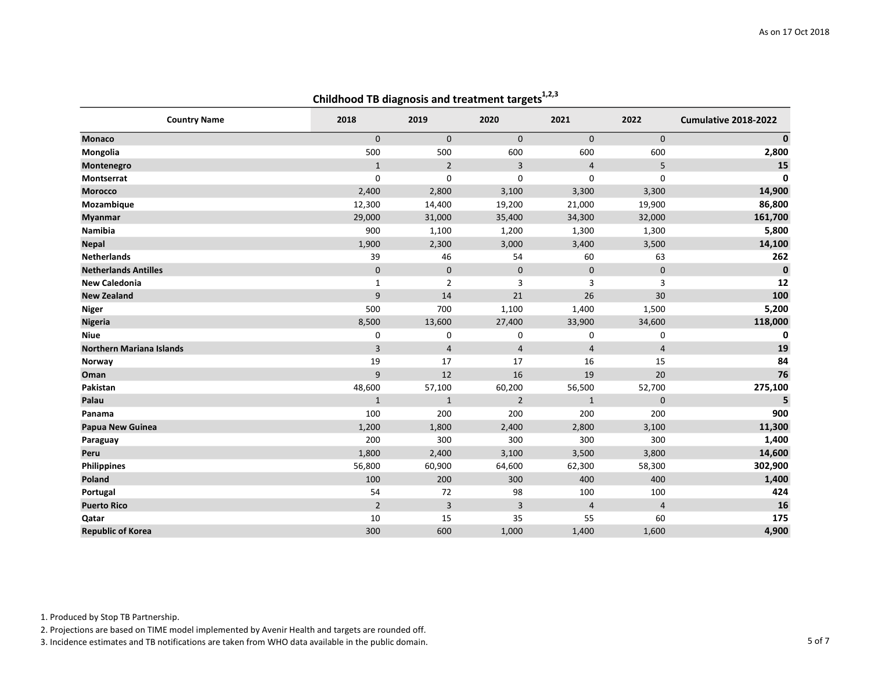| Crillanood TB diagnosis and treatment targets |                |                |                |                |                |                      |  |
|-----------------------------------------------|----------------|----------------|----------------|----------------|----------------|----------------------|--|
| <b>Country Name</b>                           | 2018           | 2019           | 2020           | 2021           | 2022           | Cumulative 2018-2022 |  |
| <b>Monaco</b>                                 | $\mathbf{0}$   | $\mathbf{0}$   | $\mathbf 0$    | $\mathbf{0}$   | $\mathbf 0$    | $\pmb{0}$            |  |
| Mongolia                                      | 500            | 500            | 600            | 600            | 600            | 2,800                |  |
| Montenegro                                    | $\mathbf{1}$   | $\overline{2}$ | 3              | $\overline{4}$ | 5              | 15                   |  |
| <b>Montserrat</b>                             | 0              | 0              | $\mathbf 0$    | 0              | 0              | $\mathbf 0$          |  |
| <b>Morocco</b>                                | 2,400          | 2,800          | 3,100          | 3,300          | 3,300          | 14,900               |  |
| Mozambique                                    | 12,300         | 14,400         | 19,200         | 21,000         | 19,900         | 86,800               |  |
| <b>Myanmar</b>                                | 29,000         | 31,000         | 35,400         | 34,300         | 32,000         | 161,700              |  |
| Namibia                                       | 900            | 1,100          | 1,200          | 1,300          | 1,300          | 5,800                |  |
| <b>Nepal</b>                                  | 1,900          | 2,300          | 3,000          | 3,400          | 3,500          | 14,100               |  |
| <b>Netherlands</b>                            | 39             | 46             | 54             | 60             | 63             | 262                  |  |
| <b>Netherlands Antilles</b>                   | $\mathbf 0$    | $\mathbf 0$    | $\pmb{0}$      | $\mathbf 0$    | $\mathbf 0$    | $\mathbf{0}$         |  |
| <b>New Caledonia</b>                          | $\mathbf{1}$   | $\overline{2}$ | 3              | 3              | 3              | 12                   |  |
| <b>New Zealand</b>                            | 9              | 14             | 21             | 26             | 30             | 100                  |  |
| <b>Niger</b>                                  | 500            | 700            | 1,100          | 1,400          | 1,500          | 5,200                |  |
| <b>Nigeria</b>                                | 8,500          | 13,600         | 27,400         | 33,900         | 34,600         | 118,000              |  |
| <b>Niue</b>                                   | 0              | 0              | 0              | 0              | 0              | 0                    |  |
| <b>Northern Mariana Islands</b>               | 3              | $\overline{4}$ | $\overline{4}$ | $\overline{4}$ | $\overline{4}$ | 19                   |  |
| Norway                                        | 19             | 17             | 17             | 16             | 15             | 84                   |  |
| Oman                                          | 9              | 12             | 16             | 19             | 20             | 76                   |  |
| Pakistan                                      | 48,600         | 57,100         | 60,200         | 56,500         | 52,700         | 275,100              |  |
| Palau                                         | $\mathbf{1}$   | $\mathbf{1}$   | $\overline{2}$ | $\mathbf{1}$   | $\mathbf 0$    | 5                    |  |
| Panama                                        | 100            | 200            | 200            | 200            | 200            | 900                  |  |
| Papua New Guinea                              | 1,200          | 1,800          | 2,400          | 2,800          | 3,100          | 11,300               |  |
| Paraguay                                      | 200            | 300            | 300            | 300            | 300            | 1,400                |  |
| Peru                                          | 1,800          | 2,400          | 3,100          | 3,500          | 3,800          | 14,600               |  |
| <b>Philippines</b>                            | 56,800         | 60,900         | 64,600         | 62,300         | 58,300         | 302,900              |  |
| Poland                                        | 100            | 200            | 300            | 400            | 400            | 1,400                |  |
| Portugal                                      | 54             | 72             | 98             | 100            | 100            | 424                  |  |
| <b>Puerto Rico</b>                            | $\overline{2}$ | 3              | 3              | $\overline{4}$ | $\overline{4}$ | 16                   |  |
| Qatar                                         | 10             | 15             | 35             | 55             | 60             | 175                  |  |
| <b>Republic of Korea</b>                      | 300            | 600            | 1,000          | 1,400          | 1,600          | 4,900                |  |

1. Produced by Stop TB Partnership.

2. Projections are based on TIME model implemented by Avenir Health and targets are rounded off.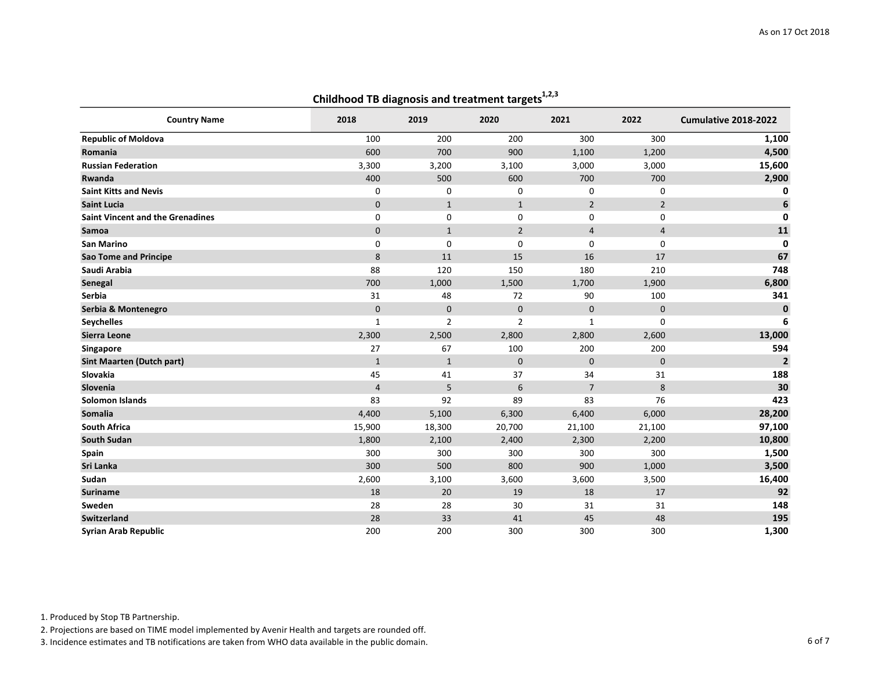| $\frac{1}{2}$                           |                |                |                |                |                |                      |  |
|-----------------------------------------|----------------|----------------|----------------|----------------|----------------|----------------------|--|
| <b>Country Name</b>                     | 2018           | 2019           | 2020           | 2021           | 2022           | Cumulative 2018-2022 |  |
| <b>Republic of Moldova</b>              | 100            | 200            | 200            | 300            | 300            | 1,100                |  |
| Romania                                 | 600            | 700            | 900            | 1,100          | 1,200          | 4,500                |  |
| <b>Russian Federation</b>               | 3,300          | 3,200          | 3,100          | 3,000          | 3,000          | 15,600               |  |
| Rwanda                                  | 400            | 500            | 600            | 700            | 700            | 2,900                |  |
| <b>Saint Kitts and Nevis</b>            | 0              | 0              | 0              | $\mathbf 0$    | 0              | 0                    |  |
| <b>Saint Lucia</b>                      | $\mathbf 0$    | $\mathbf{1}$   | $\mathbf{1}$   | $\overline{2}$ | $\overline{2}$ | 6                    |  |
| <b>Saint Vincent and the Grenadines</b> | 0              | 0              | 0              | 0              | 0              | $\mathbf 0$          |  |
| Samoa                                   | $\mathbf{0}$   | $\mathbf{1}$   | $\overline{2}$ | $\overline{4}$ | $\overline{4}$ | 11                   |  |
| <b>San Marino</b>                       | 0              | 0              | 0              | 0              | 0              | 0                    |  |
| <b>Sao Tome and Principe</b>            | 8              | 11             | 15             | 16             | 17             | 67                   |  |
| Saudi Arabia                            | 88             | 120            | 150            | 180            | 210            | 748                  |  |
| Senegal                                 | 700            | 1,000          | 1,500          | 1,700          | 1,900          | 6,800                |  |
| <b>Serbia</b>                           | 31             | 48             | 72             | 90             | 100            | 341                  |  |
| Serbia & Montenegro                     | $\mathbf{0}$   | $\mathbf 0$    | $\pmb{0}$      | $\mathbf 0$    | $\mathbf 0$    | $\pmb{0}$            |  |
| <b>Seychelles</b>                       | $\mathbf 1$    | $\overline{2}$ | $\overline{2}$ | 1              | 0              | 6                    |  |
| Sierra Leone                            | 2,300          | 2,500          | 2,800          | 2,800          | 2,600          | 13,000               |  |
| Singapore                               | 27             | 67             | 100            | 200            | 200            | 594                  |  |
| <b>Sint Maarten (Dutch part)</b>        | $\mathbf{1}$   | $\mathbf{1}$   | $\mathbf 0$    | $\mathbf{0}$   | $\mathbf 0$    | $\overline{2}$       |  |
| Slovakia                                | 45             | 41             | 37             | 34             | 31             | 188                  |  |
| Slovenia                                | $\overline{4}$ | 5              | 6              | $\overline{7}$ | 8              | 30                   |  |
| Solomon Islands                         | 83             | 92             | 89             | 83             | 76             | 423                  |  |
| Somalia                                 | 4,400          | 5,100          | 6,300          | 6,400          | 6,000          | 28,200               |  |
| <b>South Africa</b>                     | 15,900         | 18,300         | 20,700         | 21,100         | 21,100         | 97,100               |  |
| <b>South Sudan</b>                      | 1,800          | 2,100          | 2,400          | 2,300          | 2,200          | 10,800               |  |
| Spain                                   | 300            | 300            | 300            | 300            | 300            | 1,500                |  |
| Sri Lanka                               | 300            | 500            | 800            | 900            | 1,000          | 3,500                |  |
| Sudan                                   | 2,600          | 3,100          | 3,600          | 3,600          | 3,500          | 16,400               |  |
| <b>Suriname</b>                         | 18             | 20             | 19             | 18             | 17             | 92                   |  |
| Sweden                                  | 28             | 28             | 30             | 31             | 31             | 148                  |  |
| <b>Switzerland</b>                      | 28             | 33             | 41             | 45             | 48             | 195                  |  |
| <b>Syrian Arab Republic</b>             | 200            | 200            | 300            | 300            | 300            | 1,300                |  |

1. Produced by Stop TB Partnership.

2. Projections are based on TIME model implemented by Avenir Health and targets are rounded off.